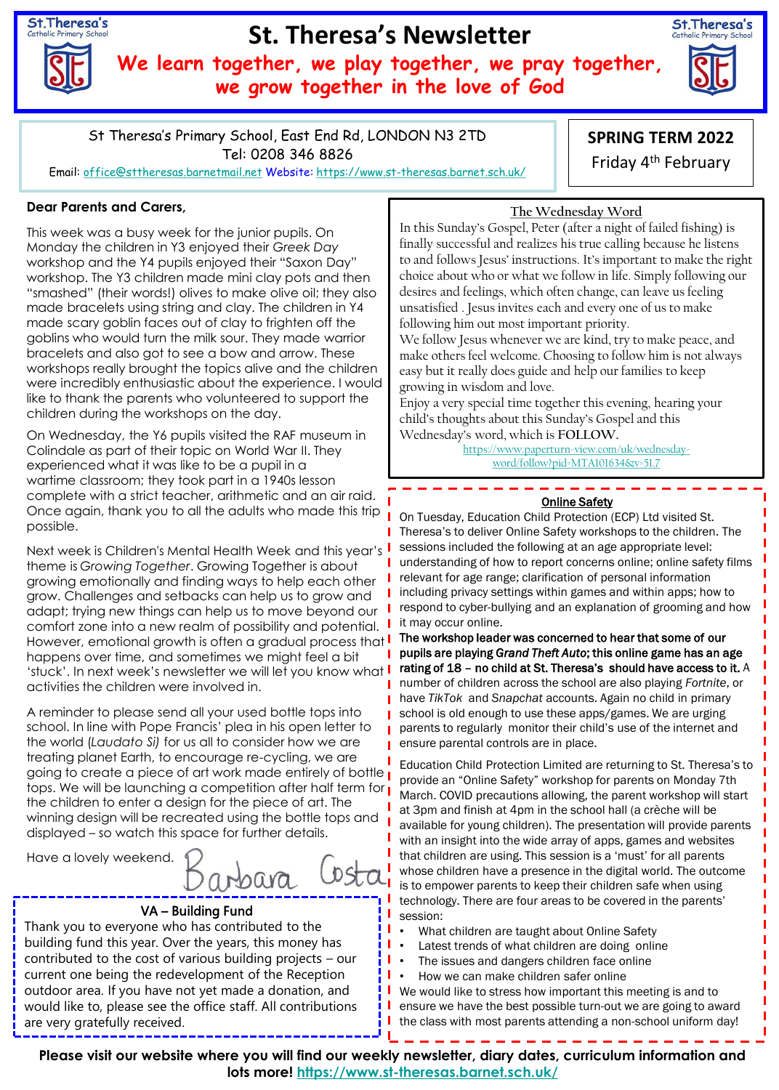St. Theresa's

# **St. Theresa's Newsletter**

**We learn together, we play together, we pray together, we grow together in the love of God**



St Theresa's Primary School, East End Rd, LONDON N3 2TD Tel: 0208 346 8826 Email: [office@sttheresas.barnetmail.net](mailto:office@sttheresas.barnetmail.net) Website:<https://www.st-theresas.barnet.sch.uk/>

# **SPRING TERM 2022**

Friday 4th February

### **Dear Parents and Carers,**

This week was a busy week for the junior pupils. On Monday the children in Y3 enjoyed their *Greek Day*  workshop and the Y4 pupils enjoyed their "Saxon Day" workshop. The Y3 children made mini clay pots and then "smashed" (their words!) olives to make olive oil; they also made bracelets using string and clay. The children in Y4 made scary goblin faces out of clay to frighten off the goblins who would turn the milk sour. They made warrior bracelets and also got to see a bow and arrow. These workshops really brought the topics alive and the children were incredibly enthusiastic about the experience. I would like to thank the parents who volunteered to support the children during the workshops on the day.

On Wednesday, the Y6 pupils visited the RAF museum in Colindale as part of their topic on World War II. They experienced what it was like to be a pupil in a wartime classroom; they took part in a 1940s lesson complete with a strict teacher, arithmetic and an air raid. Once again, thank you to all the adults who made this trip possible.

Next week is Children's Mental Health Week and this year's theme is *Growing Together*. Growing Together is about growing emotionally and finding ways to help each other grow. Challenges and setbacks can help us to grow and adapt; trying new things can help us to move beyond our comfort zone into a new realm of possibility and potential. However, emotional growth is often a gradual process that  $\mathsf I$ happens over time, and sometimes we might feel a bit 'stuck'. In next week's newsletter we will let you know what activities the children were involved in.

A reminder to please send all your used bottle tops into school. In line with Pope Francis' plea in his open letter to the world (*Laudato Si)* for us all to consider how we are treating planet Earth, to encourage re-cycling, we are going to create a piece of art work made entirely of bottle tops. We will be launching a competition after half term for the children to enter a design for the piece of art. The winning design will be recreated using the bottle tops and displayed – so watch this space for further details.

Have a lovely weekend.

arbara  $DST$ 

## VA – Building Fund

Thank you to everyone who has contributed to the building fund this year. Over the years, this money has contributed to the cost of various building projects – our current one being the redevelopment of the Reception outdoor area. If you have not yet made a donation, and would like to, please see the office staff. All contributions are very gratefully received.

**The Wednesday Word**

In this Sunday's Gospel, Peter (after a night of failed fishing) is finally successful and realizes his true calling because he listens to and follows Jesus' instructions. It's important to make the right choice about who or what we follow in life. Simply following our desires and feelings, which often change, can leave us feeling unsatisfied . Jesus invites each and every one of us to make following him out most important priority.

We follow Jesus whenever we are kind, try to make peace, and make others feel welcome. Choosing to follow him is not always easy but it really does guide and help our families to keep growing in wisdom and love.

Enjoy a very special time together this evening, hearing your child's thoughts about this Sunday's Gospel and this Wednesday's word, which is **FOLLOW.**

> [https://www.paperturn-view.com/uk/wednesday](https://www.paperturn-view.com/uk/wednesday-word/follow?pid=MTA101634&v=51.7)word/follow?pid=MTA101634&v=51.7

#### Online Safety

On Tuesday, Education Child Protection (ECP) Ltd visited St. Theresa's to deliver Online Safety workshops to the children. The sessions included the following at an age appropriate level: understanding of how to report concerns online; online safety films relevant for age range; clarification of personal information including privacy settings within games and within apps; how to respond to cyber-bullying and an explanation of grooming and how it may occur online.

The workshop leader was concerned to hear that some of our pupils are playing *Grand Theft Auto*; this online game has an age rating of 18 – no child at St. Theresa's should have access to it. A number of children across the school are also playing *Fortnite*, or have *TikTok* and *Snapchat* accounts. Again no child in primary school is old enough to use these apps/games. We are urging parents to regularly monitor their child's use of the internet and ensure parental controls are in place.

Education Child Protection Limited are returning to St. Theresa's to provide an "Online Safety" workshop for parents on Monday 7th March. COVID precautions allowing, the parent workshop will start at 3pm and finish at 4pm in the school hall (a crèche will be available for young children). The presentation will provide parents with an insight into the wide array of apps, games and websites that children are using. This session is a 'must' for all parents whose children have a presence in the digital world. The outcome is to empower parents to keep their children safe when using technology. There are four areas to be covered in the parents' session:

- What children are taught about Online Safety
- Latest trends of what children are doing online
- The issues and dangers children face online
- How we can make children safer online

We would like to stress how important this meeting is and to ensure we have the best possible turn-out we are going to award the class with most parents attending a non-school uniform day!

**Please visit our website where you will find our weekly newsletter, diary dates, curriculum information and lots more!<https://www.st-theresas.barnet.sch.uk/>**